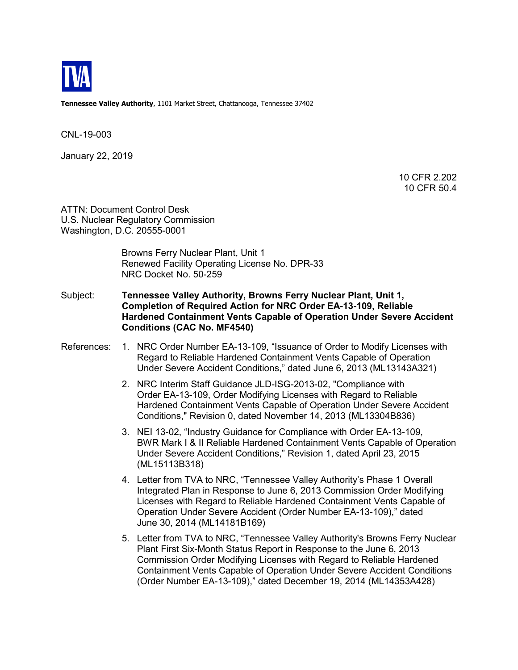

**Tennessee Valley Authority**, 1101 Market Street, Chattanooga, Tennessee 37402

CNL-19-003

January 22, 2019

10 CFR 2.202 10 CFR 50.4

ATTN: Document Control Desk U.S. Nuclear Regulatory Commission Washington, D.C. 20555-0001

> Browns Ferry Nuclear Plant, Unit 1 Renewed Facility Operating License No. DPR-33 NRC Docket No. 50-259

Subject: **Tennessee Valley Authority, Browns Ferry Nuclear Plant, Unit 1, Completion of Required Action for NRC Order EA-13-109, Reliable Hardened Containment Vents Capable of Operation Under Severe Accident Conditions (CAC No. MF4540)** 

### References: 1. NRC Order Number EA-13-109, "Issuance of Order to Modify Licenses with Regard to Reliable Hardened Containment Vents Capable of Operation Under Severe Accident Conditions," dated June 6, 2013 (ML13143A321)

- 2. NRC Interim Staff Guidance JLD-ISG-2013-02, "Compliance with Order EA-13-109, Order Modifying Licenses with Regard to Reliable Hardened Containment Vents Capable of Operation Under Severe Accident Conditions," Revision 0, dated November 14, 2013 (ML13304B836)
- 3. NEI 13-02, "Industry Guidance for Compliance with Order EA-13-109, BWR Mark I & II Reliable Hardened Containment Vents Capable of Operation Under Severe Accident Conditions," Revision 1, dated April 23, 2015 (ML15113B318)
- 4. Letter from TVA to NRC, "Tennessee Valley Authority's Phase 1 Overall Integrated Plan in Response to June 6, 2013 Commission Order Modifying Licenses with Regard to Reliable Hardened Containment Vents Capable of Operation Under Severe Accident (Order Number EA-13-109)," dated June 30, 2014 (ML14181B169)
- 5. Letter from TVA to NRC, "Tennessee Valley Authority's Browns Ferry Nuclear Plant First Six-Month Status Report in Response to the June 6, 2013 Commission Order Modifying Licenses with Regard to Reliable Hardened Containment Vents Capable of Operation Under Severe Accident Conditions (Order Number EA-13-109)," dated December 19, 2014 (ML14353A428)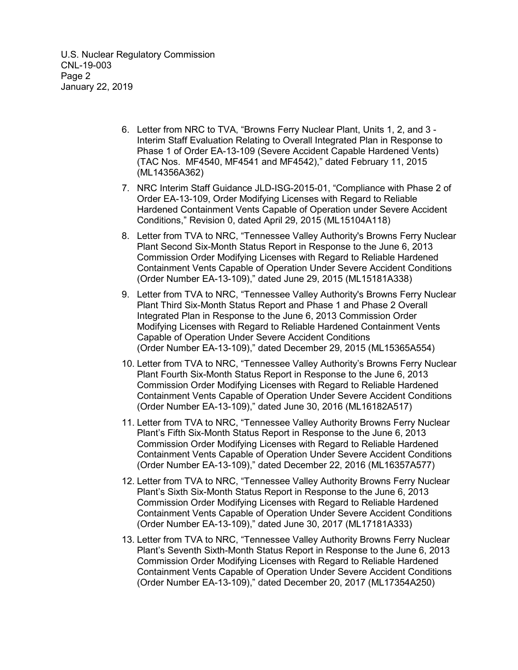U.S. Nuclear Regulatory Commission CNL-19-003 Page 2 January 22, 2019

- 6. Letter from NRC to TVA, "Browns Ferry Nuclear Plant, Units 1, 2, and 3 Interim Staff Evaluation Relating to Overall Integrated Plan in Response to Phase 1 of Order EA-13-109 (Severe Accident Capable Hardened Vents) (TAC Nos. MF4540, MF4541 and MF4542)," dated February 11, 2015 (ML14356A362)
- 7. NRC Interim Staff Guidance JLD-ISG-2015-01, "Compliance with Phase 2 of Order EA-13-109, Order Modifying Licenses with Regard to Reliable Hardened Containment Vents Capable of Operation under Severe Accident Conditions," Revision 0, dated April 29, 2015 (ML15104A118)
- 8. Letter from TVA to NRC, "Tennessee Valley Authority's Browns Ferry Nuclear Plant Second Six-Month Status Report in Response to the June 6, 2013 Commission Order Modifying Licenses with Regard to Reliable Hardened Containment Vents Capable of Operation Under Severe Accident Conditions (Order Number EA-13-109)," dated June 29, 2015 (ML15181A338)
- 9. Letter from TVA to NRC, "Tennessee Valley Authority's Browns Ferry Nuclear Plant Third Six-Month Status Report and Phase 1 and Phase 2 Overall Integrated Plan in Response to the June 6, 2013 Commission Order Modifying Licenses with Regard to Reliable Hardened Containment Vents Capable of Operation Under Severe Accident Conditions (Order Number EA-13-109)," dated December 29, 2015 (ML15365A554)
- 10. Letter from TVA to NRC, "Tennessee Valley Authority's Browns Ferry Nuclear Plant Fourth Six-Month Status Report in Response to the June 6, 2013 Commission Order Modifying Licenses with Regard to Reliable Hardened Containment Vents Capable of Operation Under Severe Accident Conditions (Order Number EA-13-109)," dated June 30, 2016 (ML16182A517)
- 11. Letter from TVA to NRC, "Tennessee Valley Authority Browns Ferry Nuclear Plant's Fifth Six-Month Status Report in Response to the June 6, 2013 Commission Order Modifying Licenses with Regard to Reliable Hardened Containment Vents Capable of Operation Under Severe Accident Conditions (Order Number EA-13-109)," dated December 22, 2016 (ML16357A577)
- 12. Letter from TVA to NRC, "Tennessee Valley Authority Browns Ferry Nuclear Plant's Sixth Six-Month Status Report in Response to the June 6, 2013 Commission Order Modifying Licenses with Regard to Reliable Hardened Containment Vents Capable of Operation Under Severe Accident Conditions (Order Number EA-13-109)," dated June 30, 2017 (ML17181A333)
- 13. Letter from TVA to NRC, "Tennessee Valley Authority Browns Ferry Nuclear Plant's Seventh Sixth-Month Status Report in Response to the June 6, 2013 Commission Order Modifying Licenses with Regard to Reliable Hardened Containment Vents Capable of Operation Under Severe Accident Conditions (Order Number EA-13-109)," dated December 20, 2017 (ML17354A250)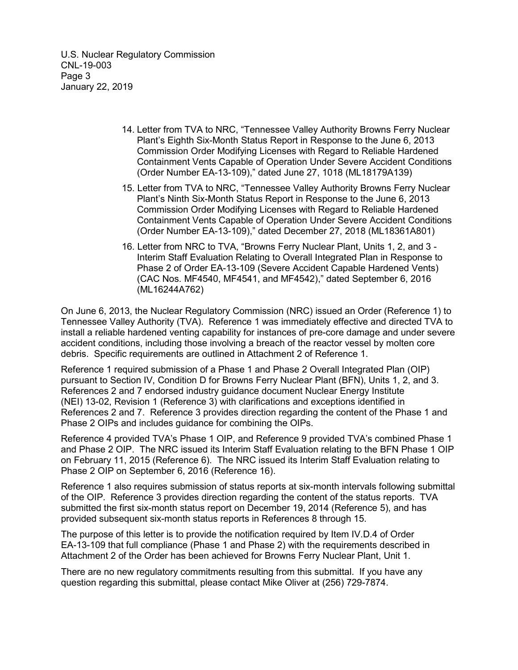U.S. Nuclear Regulatory Commission CNL-19-003 Page 3 January 22, 2019

- 14. Letter from TVA to NRC, "Tennessee Valley Authority Browns Ferry Nuclear Plant's Eighth Six-Month Status Report in Response to the June 6, 2013 Commission Order Modifying Licenses with Regard to Reliable Hardened Containment Vents Capable of Operation Under Severe Accident Conditions (Order Number EA-13-109)," dated June 27, 1018 (ML18179A139)
- 15. Letter from TVA to NRC, "Tennessee Valley Authority Browns Ferry Nuclear Plant's Ninth Six-Month Status Report in Response to the June 6, 2013 Commission Order Modifying Licenses with Regard to Reliable Hardened Containment Vents Capable of Operation Under Severe Accident Conditions (Order Number EA-13-109)," dated December 27, 2018 (ML18361A801)
- 16. Letter from NRC to TVA, "Browns Ferry Nuclear Plant, Units 1, 2, and 3 Interim Staff Evaluation Relating to Overall Integrated Plan in Response to Phase 2 of Order EA-13-109 (Severe Accident Capable Hardened Vents) (CAC Nos. MF4540, MF4541, and MF4542)," dated September 6, 2016 (ML16244A762)

On June 6, 2013, the Nuclear Regulatory Commission (NRC) issued an Order (Reference 1) to Tennessee Valley Authority (TVA). Reference 1 was immediately effective and directed TVA to install a reliable hardened venting capability for instances of pre-core damage and under severe accident conditions, including those involving a breach of the reactor vessel by molten core debris. Specific requirements are outlined in Attachment 2 of Reference 1.

Reference 1 required submission of a Phase 1 and Phase 2 Overall Integrated Plan (OIP) pursuant to Section IV, Condition D for Browns Ferry Nuclear Plant (BFN), Units 1, 2, and 3. References 2 and 7 endorsed industry guidance document Nuclear Energy Institute (NEI) 13-02, Revision 1 (Reference 3) with clarifications and exceptions identified in References 2 and 7. Reference 3 provides direction regarding the content of the Phase 1 and Phase 2 OIPs and includes guidance for combining the OIPs.

Reference 4 provided TVA's Phase 1 OIP, and Reference 9 provided TVA's combined Phase 1 and Phase 2 OIP. The NRC issued its Interim Staff Evaluation relating to the BFN Phase 1 OIP on February 11, 2015 (Reference 6). The NRC issued its Interim Staff Evaluation relating to Phase 2 OIP on September 6, 2016 (Reference 16).

Reference 1 also requires submission of status reports at six-month intervals following submittal of the OIP. Reference 3 provides direction regarding the content of the status reports. TVA submitted the first six-month status report on December 19, 2014 (Reference 5), and has provided subsequent six-month status reports in References 8 through 15.

The purpose of this letter is to provide the notification required by Item IV.D.4 of Order EA-13-109 that full compliance (Phase 1 and Phase 2) with the requirements described in Attachment 2 of the Order has been achieved for Browns Ferry Nuclear Plant, Unit 1.

There are no new regulatory commitments resulting from this submittal. If you have any question regarding this submittal, please contact Mike Oliver at (256) 729-7874.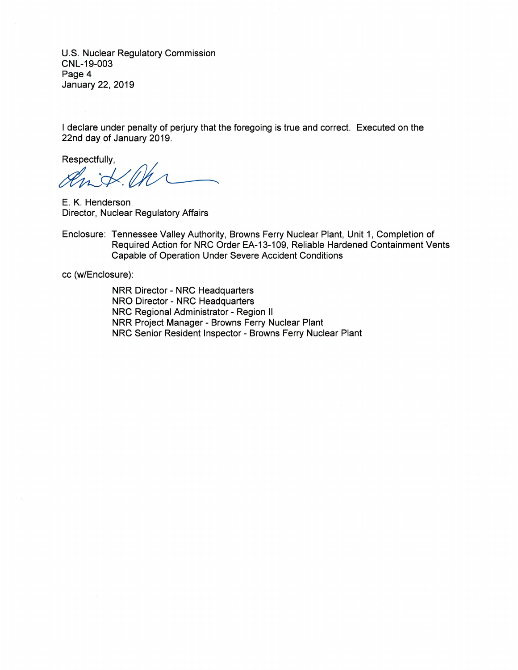U.S. Nuclear Regulatory Commission CNL-19-003 Page 4 January 22, 2019

I declare under penalty of perjury that the foregoing is true and correct. Executed on the 22nd day of January 2019.

Respectfully,

nit

E. K. Henderson Director, Nuclear Regulatory Affairs

Enclosure: Tennessee Valley Authority, Browns Ferry Nuclear Plant, Unit 1, Completion of Required Action for NRC Order EA-13-109, Reliable Hardened Containment Vents Capable of Operation Under Severe Accident Conditions

cc (w/Enclosure):

NRR Director - NRC Headquarters NRO Director - NRC Headquarters NRC Regional Administrator - Region II NRR Project Manager - Browns Ferry Nuclear Plant NRC Senior Resident Inspector - Browns Ferry Nuclear Plant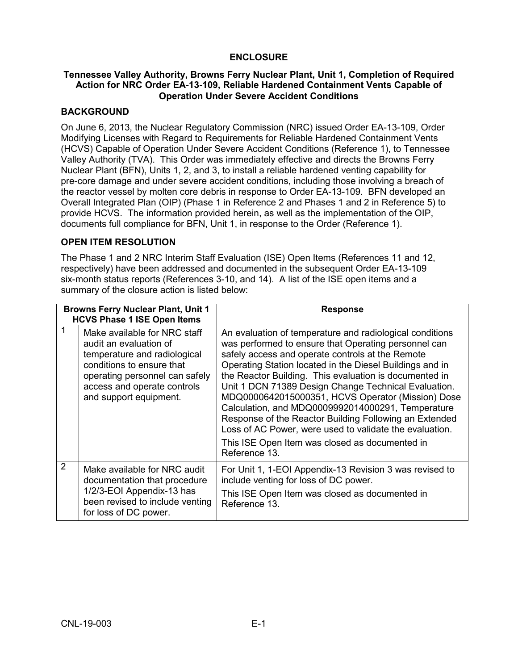## **ENCLOSURE**

### **Tennessee Valley Authority, Browns Ferry Nuclear Plant, Unit 1, Completion of Required Action for NRC Order EA-13-109, Reliable Hardened Containment Vents Capable of Operation Under Severe Accident Conditions**

## **BACKGROUND**

On June 6, 2013, the Nuclear Regulatory Commission (NRC) issued Order EA-13-109, Order Modifying Licenses with Regard to Requirements for Reliable Hardened Containment Vents (HCVS) Capable of Operation Under Severe Accident Conditions (Reference 1), to Tennessee Valley Authority (TVA). This Order was immediately effective and directs the Browns Ferry Nuclear Plant (BFN), Units 1, 2, and 3, to install a reliable hardened venting capability for pre-core damage and under severe accident conditions, including those involving a breach of the reactor vessel by molten core debris in response to Order EA-13-109. BFN developed an Overall Integrated Plan (OIP) (Phase 1 in Reference 2 and Phases 1 and 2 in Reference 5) to provide HCVS. The information provided herein, as well as the implementation of the OIP, documents full compliance for BFN, Unit 1, in response to the Order (Reference 1).

## **OPEN ITEM RESOLUTION**

The Phase 1 and 2 NRC Interim Staff Evaluation (ISE) Open Items (References 11 and 12, respectively) have been addressed and documented in the subsequent Order EA-13-109 six-month status reports (References 3-10, and 14). A list of the ISE open items and a summary of the closure action is listed below:

| <b>Browns Ferry Nuclear Plant, Unit 1</b><br><b>HCVS Phase 1 ISE Open Items</b> |                                                                                                                                                                                                                | <b>Response</b>                                                                                                                                                                                                                                                                                                                                                                                                                                                                                                                                                                                                                                      |
|---------------------------------------------------------------------------------|----------------------------------------------------------------------------------------------------------------------------------------------------------------------------------------------------------------|------------------------------------------------------------------------------------------------------------------------------------------------------------------------------------------------------------------------------------------------------------------------------------------------------------------------------------------------------------------------------------------------------------------------------------------------------------------------------------------------------------------------------------------------------------------------------------------------------------------------------------------------------|
| 1                                                                               | Make available for NRC staff<br>audit an evaluation of<br>temperature and radiological<br>conditions to ensure that<br>operating personnel can safely<br>access and operate controls<br>and support equipment. | An evaluation of temperature and radiological conditions<br>was performed to ensure that Operating personnel can<br>safely access and operate controls at the Remote<br>Operating Station located in the Diesel Buildings and in<br>the Reactor Building. This evaluation is documented in<br>Unit 1 DCN 71389 Design Change Technical Evaluation.<br>MDQ0000642015000351, HCVS Operator (Mission) Dose<br>Calculation, and MDQ0009992014000291, Temperature<br>Response of the Reactor Building Following an Extended<br>Loss of AC Power, were used to validate the evaluation.<br>This ISE Open Item was closed as documented in<br>Reference 13. |
| $\overline{2}$                                                                  | Make available for NRC audit<br>documentation that procedure<br>1/2/3-EOI Appendix-13 has<br>been revised to include venting<br>for loss of DC power.                                                          | For Unit 1, 1-EOI Appendix-13 Revision 3 was revised to<br>include venting for loss of DC power.<br>This ISE Open Item was closed as documented in<br>Reference 13.                                                                                                                                                                                                                                                                                                                                                                                                                                                                                  |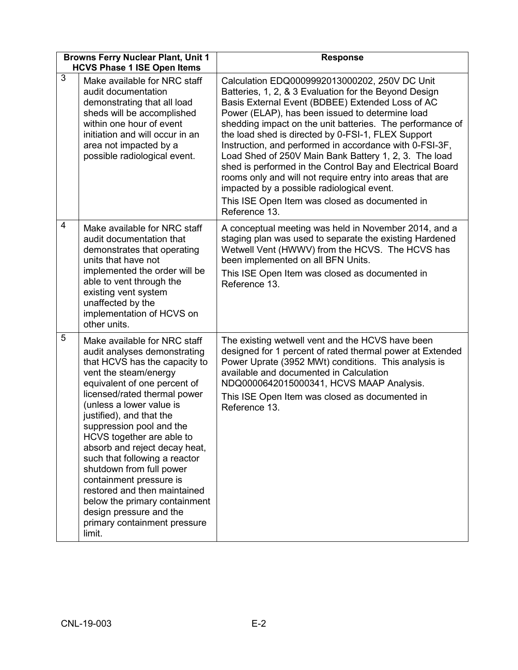|                | <b>Browns Ferry Nuclear Plant, Unit 1</b><br><b>HCVS Phase 1 ISE Open Items</b>                                                                                                                                                                                                                                                                                                                                                                                                                                                                                        | <b>Response</b>                                                                                                                                                                                                                                                                                                                                                                                                                                                                                                                                                                                                                                                                                 |  |
|----------------|------------------------------------------------------------------------------------------------------------------------------------------------------------------------------------------------------------------------------------------------------------------------------------------------------------------------------------------------------------------------------------------------------------------------------------------------------------------------------------------------------------------------------------------------------------------------|-------------------------------------------------------------------------------------------------------------------------------------------------------------------------------------------------------------------------------------------------------------------------------------------------------------------------------------------------------------------------------------------------------------------------------------------------------------------------------------------------------------------------------------------------------------------------------------------------------------------------------------------------------------------------------------------------|--|
| $\overline{3}$ | Make available for NRC staff<br>audit documentation<br>demonstrating that all load<br>sheds will be accomplished<br>within one hour of event<br>initiation and will occur in an<br>area not impacted by a<br>possible radiological event.                                                                                                                                                                                                                                                                                                                              | Calculation EDQ0009992013000202, 250V DC Unit<br>Batteries, 1, 2, & 3 Evaluation for the Beyond Design<br>Basis External Event (BDBEE) Extended Loss of AC<br>Power (ELAP), has been issued to determine load<br>shedding impact on the unit batteries. The performance of<br>the load shed is directed by 0-FSI-1, FLEX Support<br>Instruction, and performed in accordance with 0-FSI-3F,<br>Load Shed of 250V Main Bank Battery 1, 2, 3. The load<br>shed is performed in the Control Bay and Electrical Board<br>rooms only and will not require entry into areas that are<br>impacted by a possible radiological event.<br>This ISE Open Item was closed as documented in<br>Reference 13. |  |
| 4              | Make available for NRC staff<br>audit documentation that<br>demonstrates that operating<br>units that have not<br>implemented the order will be<br>able to vent through the<br>existing vent system<br>unaffected by the<br>implementation of HCVS on<br>other units.                                                                                                                                                                                                                                                                                                  | A conceptual meeting was held in November 2014, and a<br>staging plan was used to separate the existing Hardened<br>Wetwell Vent (HWWV) from the HCVS. The HCVS has<br>been implemented on all BFN Units.<br>This ISE Open Item was closed as documented in<br>Reference 13.                                                                                                                                                                                                                                                                                                                                                                                                                    |  |
| 5              | Make available for NRC staff<br>audit analyses demonstrating<br>that HCVS has the capacity to<br>vent the steam/energy<br>equivalent of one percent of<br>licensed/rated thermal power<br>(unless a lower value is<br>justified), and that the<br>suppression pool and the<br>HCVS together are able to<br>absorb and reject decay heat,<br>such that following a reactor<br>shutdown from full power<br>containment pressure is<br>restored and then maintained<br>below the primary containment<br>design pressure and the<br>primary containment pressure<br>limit. | The existing wetwell vent and the HCVS have been<br>designed for 1 percent of rated thermal power at Extended<br>Power Uprate (3952 MWt) conditions. This analysis is<br>available and documented in Calculation<br>NDQ0000642015000341, HCVS MAAP Analysis.<br>This ISE Open Item was closed as documented in<br>Reference 13.                                                                                                                                                                                                                                                                                                                                                                 |  |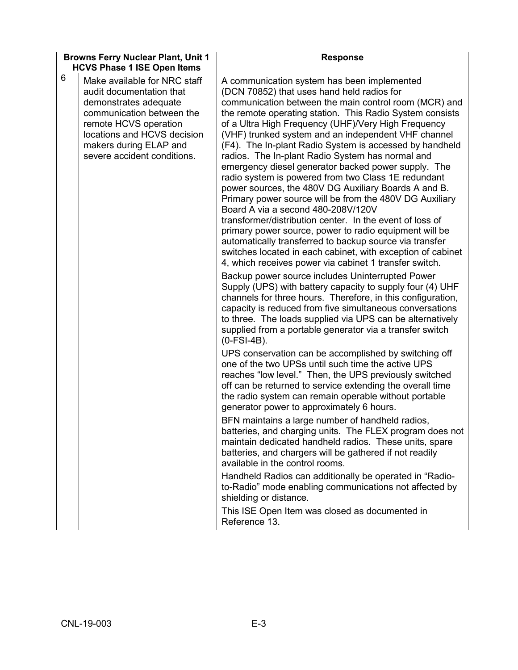| <b>Browns Ferry Nuclear Plant, Unit 1</b> |                                                                                                                                                                                                                                 | <b>Response</b>                                                                                                                                                                                                                                                                                                                                                                                                                                                                                                                                                                                                                                                                                                                                                                                                                                                                                                                                                                                                                                                                                                                                                                                                                                                                                                                                                                                                    |  |
|-------------------------------------------|---------------------------------------------------------------------------------------------------------------------------------------------------------------------------------------------------------------------------------|--------------------------------------------------------------------------------------------------------------------------------------------------------------------------------------------------------------------------------------------------------------------------------------------------------------------------------------------------------------------------------------------------------------------------------------------------------------------------------------------------------------------------------------------------------------------------------------------------------------------------------------------------------------------------------------------------------------------------------------------------------------------------------------------------------------------------------------------------------------------------------------------------------------------------------------------------------------------------------------------------------------------------------------------------------------------------------------------------------------------------------------------------------------------------------------------------------------------------------------------------------------------------------------------------------------------------------------------------------------------------------------------------------------------|--|
|                                           | <b>HCVS Phase 1 ISE Open Items</b>                                                                                                                                                                                              |                                                                                                                                                                                                                                                                                                                                                                                                                                                                                                                                                                                                                                                                                                                                                                                                                                                                                                                                                                                                                                                                                                                                                                                                                                                                                                                                                                                                                    |  |
| 6                                         | Make available for NRC staff<br>audit documentation that<br>demonstrates adequate<br>communication between the<br>remote HCVS operation<br>locations and HCVS decision<br>makers during ELAP and<br>severe accident conditions. | A communication system has been implemented<br>(DCN 70852) that uses hand held radios for<br>communication between the main control room (MCR) and<br>the remote operating station. This Radio System consists<br>of a Ultra High Frequency (UHF)/Very High Frequency<br>(VHF) trunked system and an independent VHF channel<br>(F4). The In-plant Radio System is accessed by handheld<br>radios. The In-plant Radio System has normal and<br>emergency diesel generator backed power supply. The<br>radio system is powered from two Class 1E redundant<br>power sources, the 480V DG Auxiliary Boards A and B.<br>Primary power source will be from the 480V DG Auxiliary<br>Board A via a second 480-208V/120V<br>transformer/distribution center. In the event of loss of<br>primary power source, power to radio equipment will be<br>automatically transferred to backup source via transfer<br>switches located in each cabinet, with exception of cabinet<br>4, which receives power via cabinet 1 transfer switch.<br>Backup power source includes Uninterrupted Power<br>Supply (UPS) with battery capacity to supply four (4) UHF<br>channels for three hours. Therefore, in this configuration,<br>capacity is reduced from five simultaneous conversations<br>to three. The loads supplied via UPS can be alternatively<br>supplied from a portable generator via a transfer switch<br>$(0-FSI-4B).$ |  |
|                                           |                                                                                                                                                                                                                                 | UPS conservation can be accomplished by switching off<br>one of the two UPSs until such time the active UPS<br>reaches "low level." Then, the UPS previously switched<br>off can be returned to service extending the overall time<br>the radio system can remain operable without portable<br>generator power to approximately 6 hours.<br>BFN maintains a large number of handheld radios,<br>batteries, and charging units. The FLEX program does not<br>maintain dedicated handheld radios. These units, spare<br>batteries, and chargers will be gathered if not readily<br>available in the control rooms.<br>Handheld Radios can additionally be operated in "Radio-<br>to-Radio" mode enabling communications not affected by<br>shielding or distance.<br>This ISE Open Item was closed as documented in<br>Reference 13.                                                                                                                                                                                                                                                                                                                                                                                                                                                                                                                                                                                 |  |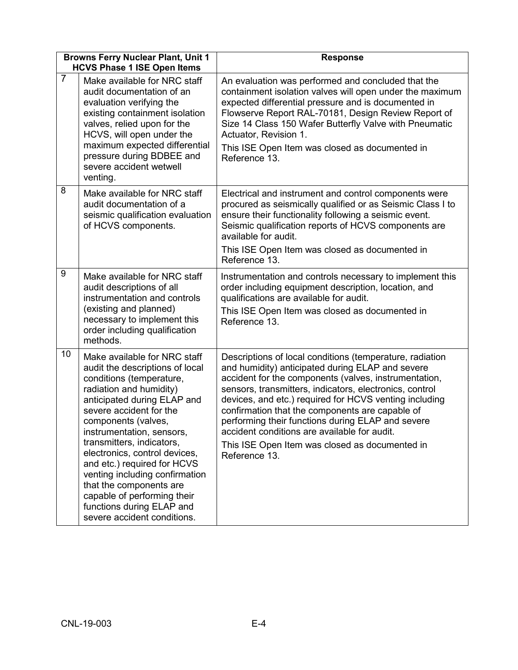|                | <b>Browns Ferry Nuclear Plant, Unit 1</b><br><b>HCVS Phase 1 ISE Open Items</b>                                                                                                                                                                                                                                                                                                                                                                                                           | <b>Response</b>                                                                                                                                                                                                                                                                                                                                                                                                                                                                                                       |
|----------------|-------------------------------------------------------------------------------------------------------------------------------------------------------------------------------------------------------------------------------------------------------------------------------------------------------------------------------------------------------------------------------------------------------------------------------------------------------------------------------------------|-----------------------------------------------------------------------------------------------------------------------------------------------------------------------------------------------------------------------------------------------------------------------------------------------------------------------------------------------------------------------------------------------------------------------------------------------------------------------------------------------------------------------|
| $\overline{7}$ | Make available for NRC staff<br>audit documentation of an<br>evaluation verifying the<br>existing containment isolation<br>valves, relied upon for the<br>HCVS, will open under the<br>maximum expected differential<br>pressure during BDBEE and<br>severe accident wetwell<br>venting.                                                                                                                                                                                                  | An evaluation was performed and concluded that the<br>containment isolation valves will open under the maximum<br>expected differential pressure and is documented in<br>Flowserve Report RAL-70181, Design Review Report of<br>Size 14 Class 150 Wafer Butterfly Valve with Pneumatic<br>Actuator, Revision 1.<br>This ISE Open Item was closed as documented in<br>Reference 13.                                                                                                                                    |
| 8              | Make available for NRC staff<br>audit documentation of a<br>seismic qualification evaluation<br>of HCVS components.                                                                                                                                                                                                                                                                                                                                                                       | Electrical and instrument and control components were<br>procured as seismically qualified or as Seismic Class I to<br>ensure their functionality following a seismic event.<br>Seismic qualification reports of HCVS components are<br>available for audit.<br>This ISE Open Item was closed as documented in<br>Reference 13.                                                                                                                                                                                       |
| 9              | Make available for NRC staff<br>audit descriptions of all<br>instrumentation and controls<br>(existing and planned)<br>necessary to implement this<br>order including qualification<br>methods.                                                                                                                                                                                                                                                                                           | Instrumentation and controls necessary to implement this<br>order including equipment description, location, and<br>qualifications are available for audit.<br>This ISE Open Item was closed as documented in<br>Reference 13.                                                                                                                                                                                                                                                                                        |
| 10             | Make available for NRC staff<br>audit the descriptions of local<br>conditions (temperature,<br>radiation and humidity)<br>anticipated during ELAP and<br>severe accident for the<br>components (valves,<br>instrumentation, sensors,<br>transmitters, indicators,<br>electronics, control devices,<br>and etc.) required for HCVS<br>venting including confirmation<br>that the components are<br>capable of performing their<br>functions during ELAP and<br>severe accident conditions. | Descriptions of local conditions (temperature, radiation<br>and humidity) anticipated during ELAP and severe<br>accident for the components (valves, instrumentation,<br>sensors, transmitters, indicators, electronics, control<br>devices, and etc.) required for HCVS venting including<br>confirmation that the components are capable of<br>performing their functions during ELAP and severe<br>accident conditions are available for audit.<br>This ISE Open Item was closed as documented in<br>Reference 13. |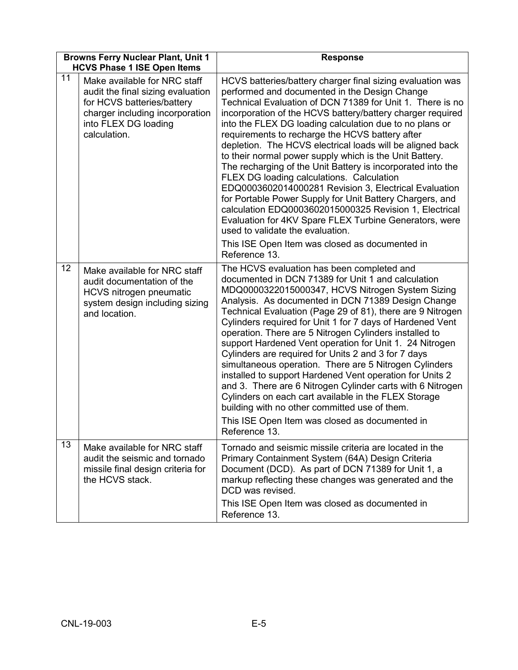| <b>Browns Ferry Nuclear Plant, Unit 1</b><br><b>HCVS Phase 1 ISE Open Items</b> |                                                                                                                                                                            | <b>Response</b>                                                                                                                                                                                                                                                                                                                                                                                                                                                                                                                                                                                                                                                                                                                                                                                                                                                                                                                          |  |
|---------------------------------------------------------------------------------|----------------------------------------------------------------------------------------------------------------------------------------------------------------------------|------------------------------------------------------------------------------------------------------------------------------------------------------------------------------------------------------------------------------------------------------------------------------------------------------------------------------------------------------------------------------------------------------------------------------------------------------------------------------------------------------------------------------------------------------------------------------------------------------------------------------------------------------------------------------------------------------------------------------------------------------------------------------------------------------------------------------------------------------------------------------------------------------------------------------------------|--|
| 11                                                                              | Make available for NRC staff<br>audit the final sizing evaluation<br>for HCVS batteries/battery<br>charger including incorporation<br>into FLEX DG loading<br>calculation. | HCVS batteries/battery charger final sizing evaluation was<br>performed and documented in the Design Change<br>Technical Evaluation of DCN 71389 for Unit 1. There is no<br>incorporation of the HCVS battery/battery charger required<br>into the FLEX DG loading calculation due to no plans or<br>requirements to recharge the HCVS battery after<br>depletion. The HCVS electrical loads will be aligned back<br>to their normal power supply which is the Unit Battery.<br>The recharging of the Unit Battery is incorporated into the<br>FLEX DG loading calculations. Calculation<br>EDQ0003602014000281 Revision 3, Electrical Evaluation<br>for Portable Power Supply for Unit Battery Chargers, and<br>calculation EDQ0003602015000325 Revision 1, Electrical<br>Evaluation for 4KV Spare FLEX Turbine Generators, were<br>used to validate the evaluation.<br>This ISE Open Item was closed as documented in<br>Reference 13. |  |
| 12                                                                              | Make available for NRC staff<br>audit documentation of the<br><b>HCVS nitrogen pneumatic</b><br>system design including sizing<br>and location.                            | The HCVS evaluation has been completed and<br>documented in DCN 71389 for Unit 1 and calculation<br>MDQ0000322015000347, HCVS Nitrogen System Sizing<br>Analysis. As documented in DCN 71389 Design Change<br>Technical Evaluation (Page 29 of 81), there are 9 Nitrogen<br>Cylinders required for Unit 1 for 7 days of Hardened Vent<br>operation. There are 5 Nitrogen Cylinders installed to<br>support Hardened Vent operation for Unit 1. 24 Nitrogen<br>Cylinders are required for Units 2 and 3 for 7 days<br>simultaneous operation. There are 5 Nitrogen Cylinders<br>installed to support Hardened Vent operation for Units 2<br>and 3. There are 6 Nitrogen Cylinder carts with 6 Nitrogen<br>Cylinders on each cart available in the FLEX Storage<br>building with no other committed use of them.<br>This ISE Open Item was closed as documented in<br>Reference 13.                                                        |  |
| 13                                                                              | Make available for NRC staff<br>audit the seismic and tornado<br>missile final design criteria for<br>the HCVS stack.                                                      | Tornado and seismic missile criteria are located in the<br>Primary Containment System (64A) Design Criteria<br>Document (DCD). As part of DCN 71389 for Unit 1, a<br>markup reflecting these changes was generated and the<br>DCD was revised.<br>This ISE Open Item was closed as documented in<br>Reference 13.                                                                                                                                                                                                                                                                                                                                                                                                                                                                                                                                                                                                                        |  |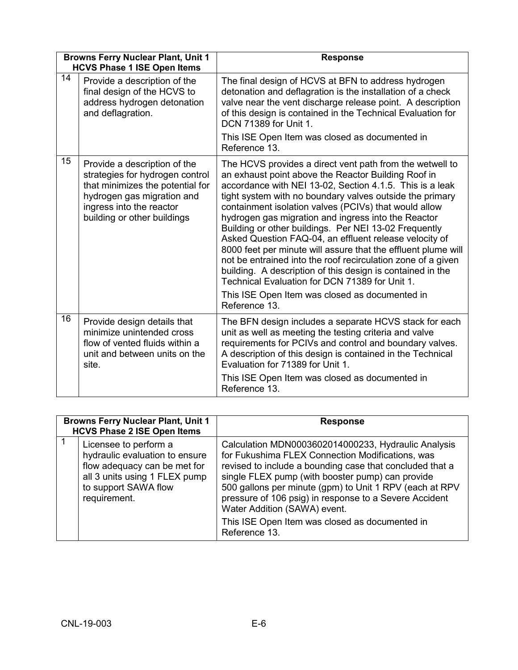| <b>Browns Ferry Nuclear Plant, Unit 1</b><br><b>HCVS Phase 1 ISE Open Items</b> |                                                                                                                                                                                              | <b>Response</b>                                                                                                                                                                                                                                                                                                                                                                                                                                                                                                                                                                                                                                                                                                                                                                                |
|---------------------------------------------------------------------------------|----------------------------------------------------------------------------------------------------------------------------------------------------------------------------------------------|------------------------------------------------------------------------------------------------------------------------------------------------------------------------------------------------------------------------------------------------------------------------------------------------------------------------------------------------------------------------------------------------------------------------------------------------------------------------------------------------------------------------------------------------------------------------------------------------------------------------------------------------------------------------------------------------------------------------------------------------------------------------------------------------|
| 14                                                                              | Provide a description of the<br>final design of the HCVS to<br>address hydrogen detonation<br>and deflagration.                                                                              | The final design of HCVS at BFN to address hydrogen<br>detonation and deflagration is the installation of a check<br>valve near the vent discharge release point. A description<br>of this design is contained in the Technical Evaluation for<br>DCN 71389 for Unit 1.<br>This ISE Open Item was closed as documented in<br>Reference 13.                                                                                                                                                                                                                                                                                                                                                                                                                                                     |
| 15                                                                              | Provide a description of the<br>strategies for hydrogen control<br>that minimizes the potential for<br>hydrogen gas migration and<br>ingress into the reactor<br>building or other buildings | The HCVS provides a direct vent path from the wetwell to<br>an exhaust point above the Reactor Building Roof in<br>accordance with NEI 13-02, Section 4.1.5. This is a leak<br>tight system with no boundary valves outside the primary<br>containment isolation valves (PCIVs) that would allow<br>hydrogen gas migration and ingress into the Reactor<br>Building or other buildings. Per NEI 13-02 Frequently<br>Asked Question FAQ-04, an effluent release velocity of<br>8000 feet per minute will assure that the effluent plume will<br>not be entrained into the roof recirculation zone of a given<br>building. A description of this design is contained in the<br>Technical Evaluation for DCN 71389 for Unit 1.<br>This ISE Open Item was closed as documented in<br>Reference 13. |
| 16                                                                              | Provide design details that<br>minimize unintended cross<br>flow of vented fluids within a<br>unit and between units on the<br>site.                                                         | The BFN design includes a separate HCVS stack for each<br>unit as well as meeting the testing criteria and valve<br>requirements for PCIVs and control and boundary valves.<br>A description of this design is contained in the Technical<br>Evaluation for 71389 for Unit 1.<br>This ISE Open Item was closed as documented in<br>Reference 13.                                                                                                                                                                                                                                                                                                                                                                                                                                               |

| <b>Browns Ferry Nuclear Plant, Unit 1</b><br><b>HCVS Phase 2 ISE Open Items</b> |                                                                                                                                                                  | <b>Response</b>                                                                                                                                                                                                                                                                                                                                                                                                                                 |  |
|---------------------------------------------------------------------------------|------------------------------------------------------------------------------------------------------------------------------------------------------------------|-------------------------------------------------------------------------------------------------------------------------------------------------------------------------------------------------------------------------------------------------------------------------------------------------------------------------------------------------------------------------------------------------------------------------------------------------|--|
|                                                                                 | Licensee to perform a<br>hydraulic evaluation to ensure<br>flow adequacy can be met for<br>all 3 units using 1 FLEX pump<br>to support SAWA flow<br>requirement. | Calculation MDN0003602014000233, Hydraulic Analysis<br>for Fukushima FLEX Connection Modifications, was<br>revised to include a bounding case that concluded that a<br>single FLEX pump (with booster pump) can provide<br>500 gallons per minute (gpm) to Unit 1 RPV (each at RPV<br>pressure of 106 psig) in response to a Severe Accident<br>Water Addition (SAWA) event.<br>This ISE Open Item was closed as documented in<br>Reference 13. |  |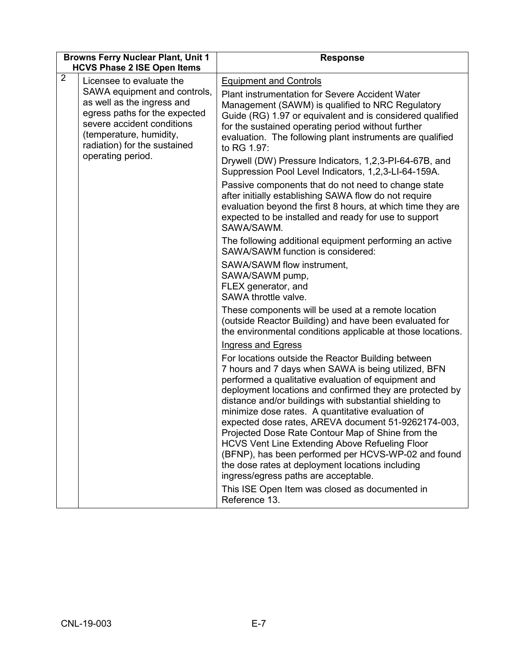| <b>Browns Ferry Nuclear Plant, Unit 1</b><br><b>HCVS Phase 2 ISE Open Items</b> |                                                                                                                                                                                                                  | <b>Response</b>                                                                                                                                                                                                                                                                                                                                                                                                                                                                                                                                                                                                                                                      |  |
|---------------------------------------------------------------------------------|------------------------------------------------------------------------------------------------------------------------------------------------------------------------------------------------------------------|----------------------------------------------------------------------------------------------------------------------------------------------------------------------------------------------------------------------------------------------------------------------------------------------------------------------------------------------------------------------------------------------------------------------------------------------------------------------------------------------------------------------------------------------------------------------------------------------------------------------------------------------------------------------|--|
| $\overline{2}$                                                                  | Licensee to evaluate the<br>SAWA equipment and controls,<br>as well as the ingress and<br>egress paths for the expected<br>severe accident conditions<br>(temperature, humidity,<br>radiation) for the sustained | <b>Equipment and Controls</b><br><b>Plant instrumentation for Severe Accident Water</b><br>Management (SAWM) is qualified to NRC Regulatory<br>Guide (RG) 1.97 or equivalent and is considered qualified<br>for the sustained operating period without further<br>evaluation. The following plant instruments are qualified<br>to RG 1.97:                                                                                                                                                                                                                                                                                                                           |  |
|                                                                                 | operating period.                                                                                                                                                                                                | Drywell (DW) Pressure Indicators, 1,2,3-PI-64-67B, and<br>Suppression Pool Level Indicators, 1,2,3-LI-64-159A.<br>Passive components that do not need to change state<br>after initially establishing SAWA flow do not require<br>evaluation beyond the first 8 hours, at which time they are<br>expected to be installed and ready for use to support<br>SAWA/SAWM.                                                                                                                                                                                                                                                                                                 |  |
|                                                                                 |                                                                                                                                                                                                                  | The following additional equipment performing an active<br>SAWA/SAWM function is considered:<br>SAWA/SAWM flow instrument,<br>SAWA/SAWM pump,<br>FLEX generator, and<br>SAWA throttle valve.                                                                                                                                                                                                                                                                                                                                                                                                                                                                         |  |
|                                                                                 |                                                                                                                                                                                                                  | These components will be used at a remote location<br>(outside Reactor Building) and have been evaluated for<br>the environmental conditions applicable at those locations.<br><b>Ingress and Egress</b>                                                                                                                                                                                                                                                                                                                                                                                                                                                             |  |
|                                                                                 |                                                                                                                                                                                                                  | For locations outside the Reactor Building between<br>7 hours and 7 days when SAWA is being utilized, BFN<br>performed a qualitative evaluation of equipment and<br>deployment locations and confirmed they are protected by<br>distance and/or buildings with substantial shielding to<br>minimize dose rates. A quantitative evaluation of<br>expected dose rates, AREVA document 51-9262174-003,<br>Projected Dose Rate Contour Map of Shine from the<br><b>HCVS Vent Line Extending Above Refueling Floor</b><br>(BFNP), has been performed per HCVS-WP-02 and found<br>the dose rates at deployment locations including<br>ingress/egress paths are acceptable. |  |
|                                                                                 |                                                                                                                                                                                                                  | This ISE Open Item was closed as documented in<br>Reference 13.                                                                                                                                                                                                                                                                                                                                                                                                                                                                                                                                                                                                      |  |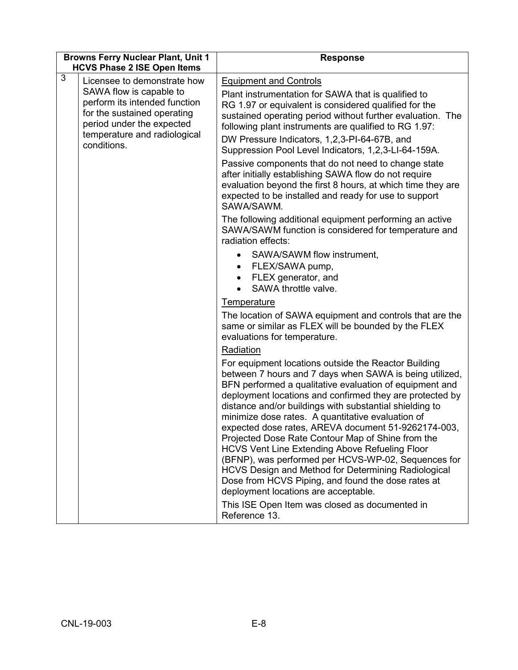| <b>Browns Ferry Nuclear Plant, Unit 1</b><br><b>HCVS Phase 2 ISE Open Items</b> |                                                                                                                                                                                                    | <b>Response</b>                                                                                                                                                                                                                                                                                                                                                                                                                                                                                                                                                                                                                                                                                                                                                                                                                                                                                                                                                                                                                                                                                                                                                                                                                                                                                                                                                                                                                                                                                                                                                                                                                                                                                                                                                                                                                                                                                                 |  |  |
|---------------------------------------------------------------------------------|----------------------------------------------------------------------------------------------------------------------------------------------------------------------------------------------------|-----------------------------------------------------------------------------------------------------------------------------------------------------------------------------------------------------------------------------------------------------------------------------------------------------------------------------------------------------------------------------------------------------------------------------------------------------------------------------------------------------------------------------------------------------------------------------------------------------------------------------------------------------------------------------------------------------------------------------------------------------------------------------------------------------------------------------------------------------------------------------------------------------------------------------------------------------------------------------------------------------------------------------------------------------------------------------------------------------------------------------------------------------------------------------------------------------------------------------------------------------------------------------------------------------------------------------------------------------------------------------------------------------------------------------------------------------------------------------------------------------------------------------------------------------------------------------------------------------------------------------------------------------------------------------------------------------------------------------------------------------------------------------------------------------------------------------------------------------------------------------------------------------------------|--|--|
| 3                                                                               | Licensee to demonstrate how<br>SAWA flow is capable to<br>perform its intended function<br>for the sustained operating<br>period under the expected<br>temperature and radiological<br>conditions. | <b>Equipment and Controls</b><br>Plant instrumentation for SAWA that is qualified to<br>RG 1.97 or equivalent is considered qualified for the<br>sustained operating period without further evaluation. The<br>following plant instruments are qualified to RG 1.97:<br>DW Pressure Indicators, 1,2,3-PI-64-67B, and<br>Suppression Pool Level Indicators, 1,2,3-LI-64-159A.<br>Passive components that do not need to change state<br>after initially establishing SAWA flow do not require<br>evaluation beyond the first 8 hours, at which time they are<br>expected to be installed and ready for use to support<br>SAWA/SAWM.<br>The following additional equipment performing an active<br>SAWA/SAWM function is considered for temperature and<br>radiation effects:<br>SAWA/SAWM flow instrument,<br>$\bullet$<br>FLEX/SAWA pump,<br>$\bullet$<br>FLEX generator, and<br>$\bullet$<br>SAWA throttle valve.<br><b>Temperature</b><br>The location of SAWA equipment and controls that are the<br>same or similar as FLEX will be bounded by the FLEX<br>evaluations for temperature.<br>Radiation<br>For equipment locations outside the Reactor Building<br>between 7 hours and 7 days when SAWA is being utilized,<br>BFN performed a qualitative evaluation of equipment and<br>deployment locations and confirmed they are protected by<br>distance and/or buildings with substantial shielding to<br>minimize dose rates. A quantitative evaluation of<br>expected dose rates, AREVA document 51-9262174-003,<br>Projected Dose Rate Contour Map of Shine from the<br>HCVS Vent Line Extending Above Refueling Floor<br>(BFNP), was performed per HCVS-WP-02, Sequences for<br>HCVS Design and Method for Determining Radiological<br>Dose from HCVS Piping, and found the dose rates at<br>deployment locations are acceptable.<br>This ISE Open Item was closed as documented in<br>Reference 13. |  |  |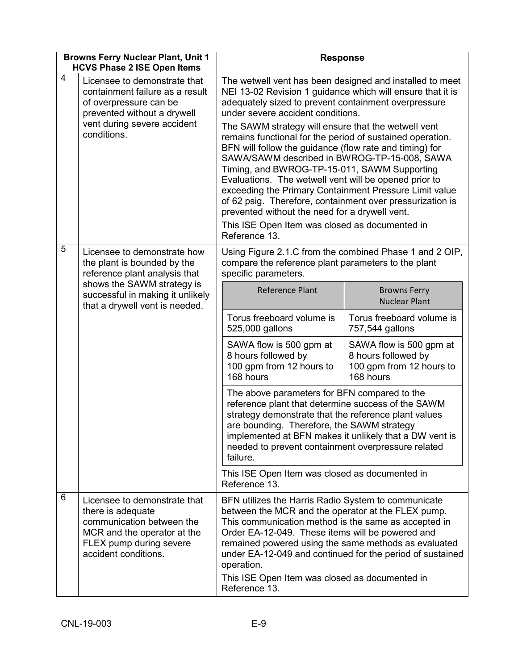|   | <b>Browns Ferry Nuclear Plant, Unit 1</b><br><b>HCVS Phase 2 ISE Open Items</b>                                                                                        | <b>Response</b>                                                                                                                                                                                                                                                                                                                                                                                                                                                                                                                                                                                                                                                                                                                                                                                         |                                                                                                                |  |  |
|---|------------------------------------------------------------------------------------------------------------------------------------------------------------------------|---------------------------------------------------------------------------------------------------------------------------------------------------------------------------------------------------------------------------------------------------------------------------------------------------------------------------------------------------------------------------------------------------------------------------------------------------------------------------------------------------------------------------------------------------------------------------------------------------------------------------------------------------------------------------------------------------------------------------------------------------------------------------------------------------------|----------------------------------------------------------------------------------------------------------------|--|--|
| 4 | Licensee to demonstrate that<br>containment failure as a result<br>of overpressure can be<br>prevented without a drywell<br>vent during severe accident<br>conditions. | The wetwell vent has been designed and installed to meet<br>NEI 13-02 Revision 1 guidance which will ensure that it is<br>adequately sized to prevent containment overpressure<br>under severe accident conditions.<br>The SAWM strategy will ensure that the wetwell vent<br>remains functional for the period of sustained operation.<br>BFN will follow the guidance (flow rate and timing) for<br>SAWA/SAWM described in BWROG-TP-15-008, SAWA<br>Timing, and BWROG-TP-15-011, SAWM Supporting<br>Evaluations. The wetwell vent will be opened prior to<br>exceeding the Primary Containment Pressure Limit value<br>of 62 psig. Therefore, containment over pressurization is<br>prevented without the need for a drywell vent.<br>This ISE Open Item was closed as documented in<br>Reference 13. |                                                                                                                |  |  |
| 5 | Licensee to demonstrate how<br>the plant is bounded by the<br>reference plant analysis that                                                                            | specific parameters.                                                                                                                                                                                                                                                                                                                                                                                                                                                                                                                                                                                                                                                                                                                                                                                    | Using Figure 2.1.C from the combined Phase 1 and 2 OIP,<br>compare the reference plant parameters to the plant |  |  |
|   | shows the SAWM strategy is<br>successful in making it unlikely<br>that a drywell vent is needed.                                                                       | <b>Reference Plant</b>                                                                                                                                                                                                                                                                                                                                                                                                                                                                                                                                                                                                                                                                                                                                                                                  | <b>Browns Ferry</b><br><b>Nuclear Plant</b>                                                                    |  |  |
|   |                                                                                                                                                                        | Torus freeboard volume is<br>525,000 gallons                                                                                                                                                                                                                                                                                                                                                                                                                                                                                                                                                                                                                                                                                                                                                            | Torus freeboard volume is<br>757,544 gallons                                                                   |  |  |
|   |                                                                                                                                                                        | SAWA flow is 500 gpm at<br>8 hours followed by<br>100 gpm from 12 hours to<br>168 hours                                                                                                                                                                                                                                                                                                                                                                                                                                                                                                                                                                                                                                                                                                                 | SAWA flow is 500 gpm at<br>8 hours followed by<br>100 gpm from 12 hours to<br>168 hours                        |  |  |
|   |                                                                                                                                                                        | The above parameters for BFN compared to the<br>reference plant that determine success of the SAWM<br>strategy demonstrate that the reference plant values<br>are bounding. Therefore, the SAWM strategy<br>implemented at BFN makes it unlikely that a DW vent is<br>needed to prevent containment overpressure related<br>failure.                                                                                                                                                                                                                                                                                                                                                                                                                                                                    |                                                                                                                |  |  |
|   |                                                                                                                                                                        | This ISE Open Item was closed as documented in<br>Reference 13.                                                                                                                                                                                                                                                                                                                                                                                                                                                                                                                                                                                                                                                                                                                                         |                                                                                                                |  |  |
| 6 | Licensee to demonstrate that<br>there is adequate<br>communication between the<br>MCR and the operator at the<br>FLEX pump during severe<br>accident conditions.       | BFN utilizes the Harris Radio System to communicate<br>between the MCR and the operator at the FLEX pump.<br>This communication method is the same as accepted in<br>Order EA-12-049. These items will be powered and<br>remained powered using the same methods as evaluated<br>under EA-12-049 and continued for the period of sustained<br>operation.<br>This ISE Open Item was closed as documented in<br>Reference 13.                                                                                                                                                                                                                                                                                                                                                                             |                                                                                                                |  |  |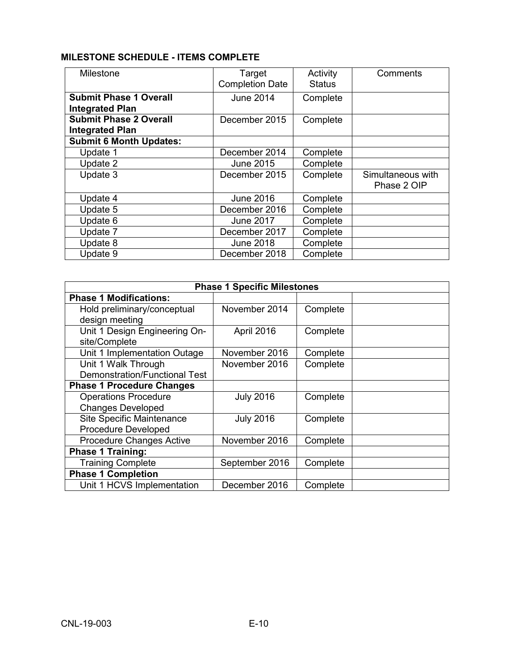# **MILESTONE SCHEDULE - ITEMS COMPLETE**

| Milestone                      | Target                 | Activity      | Comments          |
|--------------------------------|------------------------|---------------|-------------------|
|                                | <b>Completion Date</b> | <b>Status</b> |                   |
| <b>Submit Phase 1 Overall</b>  | June 2014              | Complete      |                   |
| <b>Integrated Plan</b>         |                        |               |                   |
| <b>Submit Phase 2 Overall</b>  | December 2015          | Complete      |                   |
| <b>Integrated Plan</b>         |                        |               |                   |
| <b>Submit 6 Month Updates:</b> |                        |               |                   |
| Update 1                       | December 2014          | Complete      |                   |
| Update 2                       | June 2015              | Complete      |                   |
| Update 3                       | December 2015          | Complete      | Simultaneous with |
|                                |                        |               | Phase 2 OIP       |
| Update 4                       | June 2016              | Complete      |                   |
| Update 5                       | December 2016          | Complete      |                   |
| Update 6                       | <b>June 2017</b>       | Complete      |                   |
| Update 7                       | December 2017          | Complete      |                   |
| Update 8                       | <b>June 2018</b>       | Complete      |                   |
| Update 9                       | December 2018          | Complete      |                   |

| <b>Phase 1 Specific Milestones</b>   |                  |          |  |
|--------------------------------------|------------------|----------|--|
| <b>Phase 1 Modifications:</b>        |                  |          |  |
| Hold preliminary/conceptual          | November 2014    | Complete |  |
| design meeting                       |                  |          |  |
| Unit 1 Design Engineering On-        | April 2016       | Complete |  |
| site/Complete                        |                  |          |  |
| Unit 1 Implementation Outage         | November 2016    | Complete |  |
| Unit 1 Walk Through                  | November 2016    | Complete |  |
| <b>Demonstration/Functional Test</b> |                  |          |  |
| <b>Phase 1 Procedure Changes</b>     |                  |          |  |
| <b>Operations Procedure</b>          | <b>July 2016</b> | Complete |  |
| <b>Changes Developed</b>             |                  |          |  |
| <b>Site Specific Maintenance</b>     | <b>July 2016</b> | Complete |  |
| <b>Procedure Developed</b>           |                  |          |  |
| <b>Procedure Changes Active</b>      | November 2016    | Complete |  |
| <b>Phase 1 Training:</b>             |                  |          |  |
| <b>Training Complete</b>             | September 2016   | Complete |  |
| <b>Phase 1 Completion</b>            |                  |          |  |
| Unit 1 HCVS Implementation           | December 2016    | Complete |  |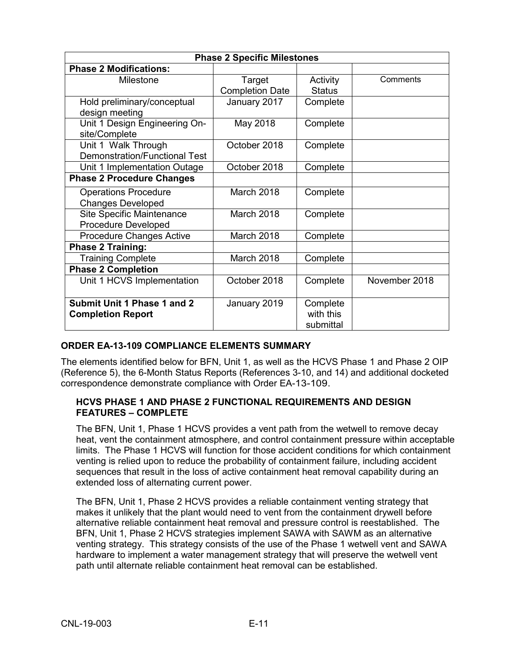| <b>Phase 2 Specific Milestones</b>   |                        |               |               |
|--------------------------------------|------------------------|---------------|---------------|
| <b>Phase 2 Modifications:</b>        |                        |               |               |
| Milestone                            | Target                 | Activity      | Comments      |
|                                      | <b>Completion Date</b> | <b>Status</b> |               |
| Hold preliminary/conceptual          | January 2017           | Complete      |               |
| design meeting                       |                        |               |               |
| Unit 1 Design Engineering On-        | May 2018               | Complete      |               |
| site/Complete                        |                        |               |               |
| Unit 1 Walk Through                  | October 2018           | Complete      |               |
| <b>Demonstration/Functional Test</b> |                        |               |               |
| Unit 1 Implementation Outage         | October 2018           | Complete      |               |
| <b>Phase 2 Procedure Changes</b>     |                        |               |               |
| <b>Operations Procedure</b>          | March 2018             | Complete      |               |
| <b>Changes Developed</b>             |                        |               |               |
| <b>Site Specific Maintenance</b>     | March 2018             | Complete      |               |
| <b>Procedure Developed</b>           |                        |               |               |
| <b>Procedure Changes Active</b>      | March 2018             | Complete      |               |
| <b>Phase 2 Training:</b>             |                        |               |               |
| <b>Training Complete</b>             | March 2018             | Complete      |               |
| <b>Phase 2 Completion</b>            |                        |               |               |
| Unit 1 HCVS Implementation           | October 2018           | Complete      | November 2018 |
|                                      |                        |               |               |
| Submit Unit 1 Phase 1 and 2          | January 2019           | Complete      |               |
| <b>Completion Report</b>             |                        | with this     |               |
|                                      |                        | submittal     |               |

## **ORDER EA-13-109 COMPLIANCE ELEMENTS SUMMARY**

The elements identified below for BFN, Unit 1, as well as the HCVS Phase 1 and Phase 2 OIP (Reference 5), the 6-Month Status Reports (References 3-10, and 14) and additional docketed correspondence demonstrate compliance with Order EA-13-109.

### **HCVS PHASE 1 AND PHASE 2 FUNCTIONAL REQUIREMENTS AND DESIGN FEATURES – COMPLETE**

The BFN, Unit 1, Phase 1 HCVS provides a vent path from the wetwell to remove decay heat, vent the containment atmosphere, and control containment pressure within acceptable limits. The Phase 1 HCVS will function for those accident conditions for which containment venting is relied upon to reduce the probability of containment failure, including accident sequences that result in the loss of active containment heat removal capability during an extended loss of alternating current power.

The BFN, Unit 1, Phase 2 HCVS provides a reliable containment venting strategy that makes it unlikely that the plant would need to vent from the containment drywell before alternative reliable containment heat removal and pressure control is reestablished. The BFN, Unit 1, Phase 2 HCVS strategies implement SAWA with SAWM as an alternative venting strategy. This strategy consists of the use of the Phase 1 wetwell vent and SAWA hardware to implement a water management strategy that will preserve the wetwell vent path until alternate reliable containment heat removal can be established.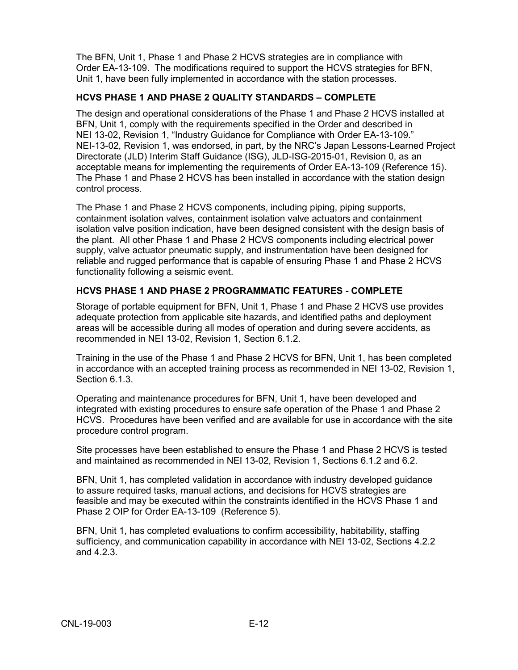The BFN, Unit 1, Phase 1 and Phase 2 HCVS strategies are in compliance with Order EA-13-109. The modifications required to support the HCVS strategies for BFN, Unit 1, have been fully implemented in accordance with the station processes.

## **HCVS PHASE 1 AND PHASE 2 QUALITY STANDARDS – COMPLETE**

The design and operational considerations of the Phase 1 and Phase 2 HCVS installed at BFN, Unit 1, comply with the requirements specified in the Order and described in NEI 13-02, Revision 1, "Industry Guidance for Compliance with Order EA-13-109." NEI-13-02, Revision 1, was endorsed, in part, by the NRC's Japan Lessons-Learned Project Directorate (JLD) Interim Staff Guidance (ISG), JLD-ISG-2015-01, Revision 0, as an acceptable means for implementing the requirements of Order EA-13-109 (Reference 15). The Phase 1 and Phase 2 HCVS has been installed in accordance with the station design control process.

The Phase 1 and Phase 2 HCVS components, including piping, piping supports, containment isolation valves, containment isolation valve actuators and containment isolation valve position indication, have been designed consistent with the design basis of the plant. All other Phase 1 and Phase 2 HCVS components including electrical power supply, valve actuator pneumatic supply, and instrumentation have been designed for reliable and rugged performance that is capable of ensuring Phase 1 and Phase 2 HCVS functionality following a seismic event.

## **HCVS PHASE 1 AND PHASE 2 PROGRAMMATIC FEATURES - COMPLETE**

Storage of portable equipment for BFN, Unit 1, Phase 1 and Phase 2 HCVS use provides adequate protection from applicable site hazards, and identified paths and deployment areas will be accessible during all modes of operation and during severe accidents, as recommended in NEI 13-02, Revision 1, Section 6.1.2.

Training in the use of the Phase 1 and Phase 2 HCVS for BFN, Unit 1, has been completed in accordance with an accepted training process as recommended in NEI 13-02, Revision 1, Section 6.1.3.

Operating and maintenance procedures for BFN, Unit 1, have been developed and integrated with existing procedures to ensure safe operation of the Phase 1 and Phase 2 HCVS. Procedures have been verified and are available for use in accordance with the site procedure control program.

Site processes have been established to ensure the Phase 1 and Phase 2 HCVS is tested and maintained as recommended in NEI 13-02, Revision 1, Sections 6.1.2 and 6.2.

BFN, Unit 1, has completed validation in accordance with industry developed guidance to assure required tasks, manual actions, and decisions for HCVS strategies are feasible and may be executed within the constraints identified in the HCVS Phase 1 and Phase 2 OIP for Order EA-13-109 (Reference 5).

BFN, Unit 1, has completed evaluations to confirm accessibility, habitability, staffing sufficiency, and communication capability in accordance with NEI 13-02, Sections 4.2.2 and 4.2.3.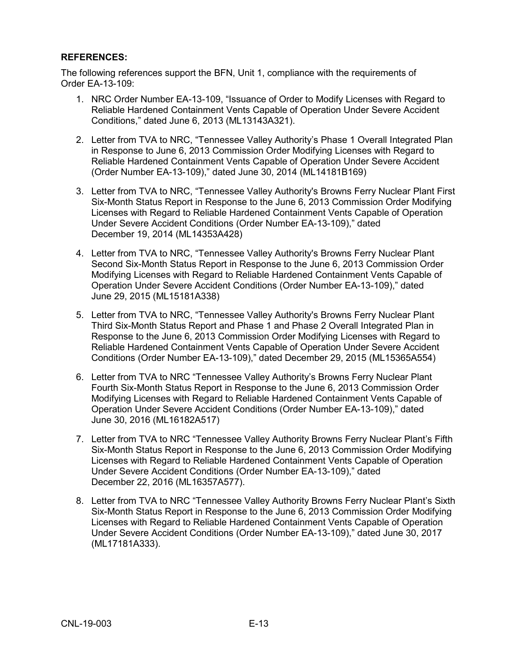### **REFERENCES:**

The following references support the BFN, Unit 1, compliance with the requirements of Order EA-13-109:

- 1. NRC Order Number EA-13-109, "Issuance of Order to Modify Licenses with Regard to Reliable Hardened Containment Vents Capable of Operation Under Severe Accident Conditions," dated June 6, 2013 (ML13143A321).
- 2. Letter from TVA to NRC, "Tennessee Valley Authority's Phase 1 Overall Integrated Plan in Response to June 6, 2013 Commission Order Modifying Licenses with Regard to Reliable Hardened Containment Vents Capable of Operation Under Severe Accident (Order Number EA-13-109)," dated June 30, 2014 (ML14181B169)
- 3. Letter from TVA to NRC, "Tennessee Valley Authority's Browns Ferry Nuclear Plant First Six-Month Status Report in Response to the June 6, 2013 Commission Order Modifying Licenses with Regard to Reliable Hardened Containment Vents Capable of Operation Under Severe Accident Conditions (Order Number EA-13-109)," dated December 19, 2014 (ML14353A428)
- 4. Letter from TVA to NRC, "Tennessee Valley Authority's Browns Ferry Nuclear Plant Second Six-Month Status Report in Response to the June 6, 2013 Commission Order Modifying Licenses with Regard to Reliable Hardened Containment Vents Capable of Operation Under Severe Accident Conditions (Order Number EA-13-109)," dated June 29, 2015 (ML15181A338)
- 5. Letter from TVA to NRC, "Tennessee Valley Authority's Browns Ferry Nuclear Plant Third Six-Month Status Report and Phase 1 and Phase 2 Overall Integrated Plan in Response to the June 6, 2013 Commission Order Modifying Licenses with Regard to Reliable Hardened Containment Vents Capable of Operation Under Severe Accident Conditions (Order Number EA-13-109)," dated December 29, 2015 (ML15365A554)
- 6. Letter from TVA to NRC "Tennessee Valley Authority's Browns Ferry Nuclear Plant Fourth Six-Month Status Report in Response to the June 6, 2013 Commission Order Modifying Licenses with Regard to Reliable Hardened Containment Vents Capable of Operation Under Severe Accident Conditions (Order Number EA-13-109)," dated June 30, 2016 (ML16182A517)
- 7. Letter from TVA to NRC "Tennessee Valley Authority Browns Ferry Nuclear Plant's Fifth Six-Month Status Report in Response to the June 6, 2013 Commission Order Modifying Licenses with Regard to Reliable Hardened Containment Vents Capable of Operation Under Severe Accident Conditions (Order Number EA-13-109)," dated December 22, 2016 (ML16357A577).
- 8. Letter from TVA to NRC "Tennessee Valley Authority Browns Ferry Nuclear Plant's Sixth Six-Month Status Report in Response to the June 6, 2013 Commission Order Modifying Licenses with Regard to Reliable Hardened Containment Vents Capable of Operation Under Severe Accident Conditions (Order Number EA-13-109)," dated June 30, 2017 (ML17181A333).